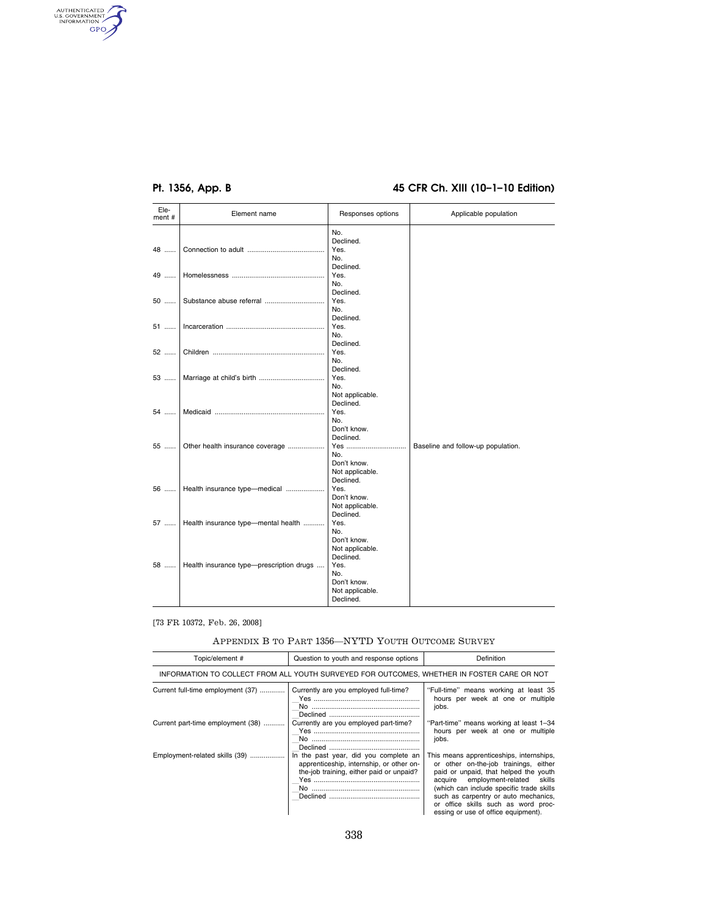AUTHENTICATED

# **Pt. 1356, App. B 45 CFR Ch. XIII (10–1–10 Edition)**

| Ele-<br>ment# | Element name                             | Responses options | Applicable population              |
|---------------|------------------------------------------|-------------------|------------------------------------|
|               |                                          | No.               |                                    |
|               |                                          | Declined.         |                                    |
| 48            |                                          | Yes.              |                                    |
|               |                                          | No.               |                                    |
|               |                                          | Declined.         |                                    |
| 49            |                                          | Yes.              |                                    |
|               |                                          | No.               |                                    |
|               |                                          | Declined.         |                                    |
| 50            |                                          | Yes.              |                                    |
|               |                                          | No.               |                                    |
|               |                                          | Declined.         |                                    |
| 51            |                                          | Yes.              |                                    |
|               |                                          | No.               |                                    |
|               |                                          | Declined.         |                                    |
| 52            |                                          | Yes.              |                                    |
|               |                                          | No.               |                                    |
|               |                                          | Declined.         |                                    |
| 53            |                                          | Yes.              |                                    |
|               |                                          | No.               |                                    |
|               |                                          | Not applicable.   |                                    |
|               |                                          | Declined.         |                                    |
| 54            |                                          | Yes.              |                                    |
|               |                                          | No.               |                                    |
|               |                                          | Don't know.       |                                    |
|               |                                          | Declined.         |                                    |
| 55            | Other health insurance coverage          | Yes               | Baseline and follow-up population. |
|               |                                          | No.               |                                    |
|               |                                          | Don't know.       |                                    |
|               |                                          | Not applicable.   |                                    |
|               |                                          | Declined.         |                                    |
| 56            | Health insurance type-medical            | Yes.              |                                    |
|               |                                          | Don't know.       |                                    |
|               |                                          | Not applicable.   |                                    |
|               |                                          | Declined.         |                                    |
| 57            | Health insurance type-mental health      | Yes.              |                                    |
|               |                                          | No.               |                                    |
|               |                                          | Don't know.       |                                    |
|               |                                          | Not applicable.   |                                    |
|               |                                          | Declined.         |                                    |
| 58            | Health insurance type-prescription drugs | Yes.              |                                    |
|               |                                          | No.               |                                    |
|               |                                          | Don't know.       |                                    |
|               |                                          |                   |                                    |
|               |                                          | Not applicable.   |                                    |

### [73 FR 10372, Feb. 26, 2008]

### APPENDIX B TO PART 1356—NYTD YOUTH OUTCOME SURVEY

| Topic/element#                                                                             | Question to youth and response options                                                                                        | Definition                                                                                                                                                                                                                                                                                                                        |  |  |
|--------------------------------------------------------------------------------------------|-------------------------------------------------------------------------------------------------------------------------------|-----------------------------------------------------------------------------------------------------------------------------------------------------------------------------------------------------------------------------------------------------------------------------------------------------------------------------------|--|--|
| INFORMATION TO COLLECT FROM ALL YOUTH SURVEYED FOR OUTCOMES. WHETHER IN FOSTER CARE OR NOT |                                                                                                                               |                                                                                                                                                                                                                                                                                                                                   |  |  |
| Current full-time employment (37)                                                          | Currently are you employed full-time?                                                                                         | "Full-time" means working at least 35<br>hours per week at one or multiple<br>jobs.                                                                                                                                                                                                                                               |  |  |
| Current part-time employment (38)                                                          | Currently are you employed part-time?                                                                                         | "Part-time" means working at least 1-34<br>hours per week at one or multiple<br>jobs.                                                                                                                                                                                                                                             |  |  |
| Employment-related skills (39)                                                             | In the past year, did you complete an<br>apprenticeship, internship, or other on-<br>the-job training, either paid or unpaid? | This means apprenticeships, internships,<br>or other on-the-job trainings, either<br>paid or unpaid, that helped the youth<br>acquire employment-related skills<br>(which can include specific trade skills<br>such as carpentry or auto mechanics,<br>or office skills such as word proc-<br>essing or use of office equipment). |  |  |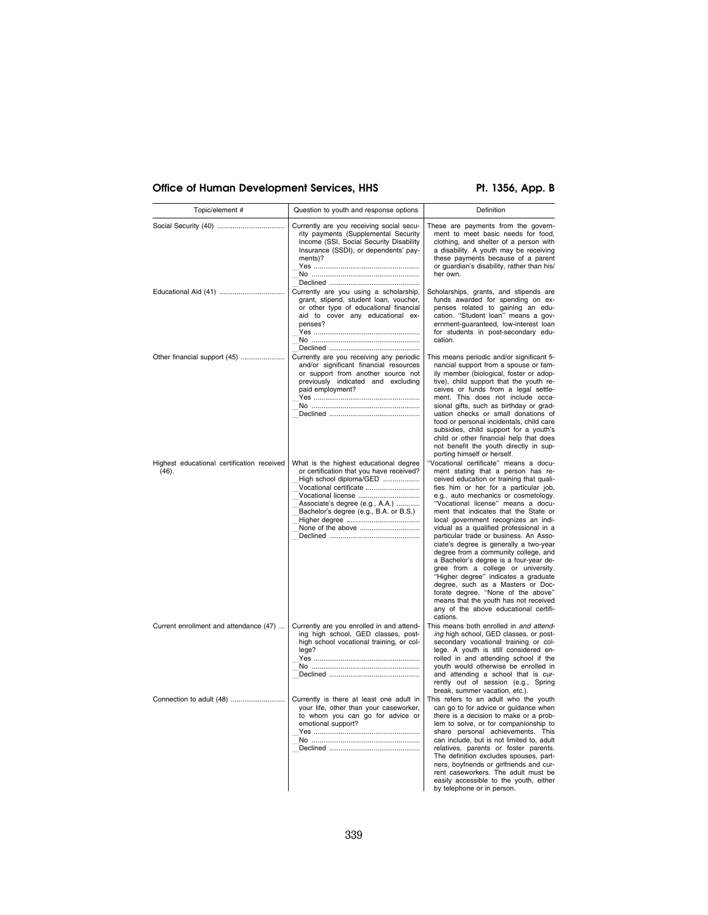# Office of Human Development Services, HHS Pt. 1356, App. B

| Topic/element #                                     | Question to youth and response options                                                                                                                                                                                                                          | Definition                                                                                                                                                                                                                                                                                                                                                                                                                                                                                                                                                                                                                                                                                                                                                                                              |
|-----------------------------------------------------|-----------------------------------------------------------------------------------------------------------------------------------------------------------------------------------------------------------------------------------------------------------------|---------------------------------------------------------------------------------------------------------------------------------------------------------------------------------------------------------------------------------------------------------------------------------------------------------------------------------------------------------------------------------------------------------------------------------------------------------------------------------------------------------------------------------------------------------------------------------------------------------------------------------------------------------------------------------------------------------------------------------------------------------------------------------------------------------|
|                                                     | Currently are you receiving social secu-<br>rity payments (Supplemental Security<br>Income (SSI, Social Security Disability<br>Insurance (SSDI), or dependents' pay-<br>ments)?                                                                                 | These are payments from the govern-<br>ment to meet basic needs for food,<br>clothing, and shelter of a person with<br>a disability. A youth may be receiving<br>these payments because of a parent<br>or guardian's disability, rather than his/<br>her own.                                                                                                                                                                                                                                                                                                                                                                                                                                                                                                                                           |
|                                                     | Currently are you using a scholarship,<br>grant, stipend, student loan, voucher,<br>or other type of educational financial<br>aid to cover any educational ex-<br>penses?                                                                                       | Scholarships, grants, and stipends are<br>funds awarded for spending on ex-<br>penses related to gaining an edu-<br>cation. "Student loan" means a gov-<br>ernment-guaranteed, low-interest loan<br>for students in post-secondary edu-<br>cation.                                                                                                                                                                                                                                                                                                                                                                                                                                                                                                                                                      |
| Other financial support (45)                        | Currently are you receiving any periodic<br>and/or significant financial resources<br>or support from another source not<br>previously indicated and excluding<br>paid employment?                                                                              | This means periodic and/or significant fi-<br>nancial support from a spouse or fam-<br>ily member (biological, foster or adop-<br>tive), child support that the youth re-<br>ceives or funds from a legal settle-<br>ment. This does not include occa-<br>sional gifts, such as birthday or grad-<br>uation checks or small donations of<br>food or personal incidentals, child care<br>subsidies, child support for a youth's<br>child or other financial help that does<br>not benefit the youth directly in sup-<br>porting himself or herself.                                                                                                                                                                                                                                                      |
| Highest educational certification received<br>(46). | What is the highest educational degree<br>or certification that you have received?<br>High school diploma/GED<br>Vocational certificate<br>Vocational license<br>Associate's degree (e.g., A.A.)<br>Bachelor's degree (e.g., B.A. or B.S.)<br>None of the above | Vocational certificate" means a docu-<br>ment stating that a person has re-<br>ceived education or training that quali-<br>fies him or her for a particular job,<br>e.g., auto mechanics or cosmetology.<br>"Vocational license" means a docu-<br>ment that indicates that the State or<br>local government recognizes an indi-<br>vidual as a qualified professional in a<br>particular trade or business. An Asso-<br>ciate's degree is generally a two-year<br>degree from a community college, and<br>a Bachelor's degree is a four-year de-<br>gree from a college or university.<br>"Higher degree" indicates a graduate<br>degree, such as a Masters or Doc-<br>torate degree. "None of the above"<br>means that the youth has not received<br>any of the above educational certifi-<br>cations. |
| Current enrollment and attendance (47)              | Currently are you enrolled in and attend-<br>ing high school, GED classes, post-<br>high school vocational training, or col-<br>lege?                                                                                                                           | This means both enrolled in and attend-<br>ing high school, GED classes, or post-<br>secondary vocational training or col-<br>lege. A youth is still considered en-<br>rolled in and attending school if the<br>youth would otherwise be enrolled in<br>and attending a school that is cur-<br>rently out of session (e.g., Spring<br>break, summer vacation, etc.).                                                                                                                                                                                                                                                                                                                                                                                                                                    |
| Connection to adult (48)                            | Currently is there at least one adult in<br>your life, other than your caseworker,<br>to whom you can go for advice or<br>emotional support?                                                                                                                    | This refers to an adult who the youth<br>can go to for advice or guidance when<br>there is a decision to make or a prob-<br>lem to solve, or for companionship to<br>share personal achievements. This<br>can include, but is not limited to, adult<br>relatives, parents or foster parents.<br>The definition excludes spouses, part-<br>ners, boyfriends or girlfriends and cur-<br>rent caseworkers. The adult must be<br>easily accessible to the youth, either<br>by telephone or in person.                                                                                                                                                                                                                                                                                                       |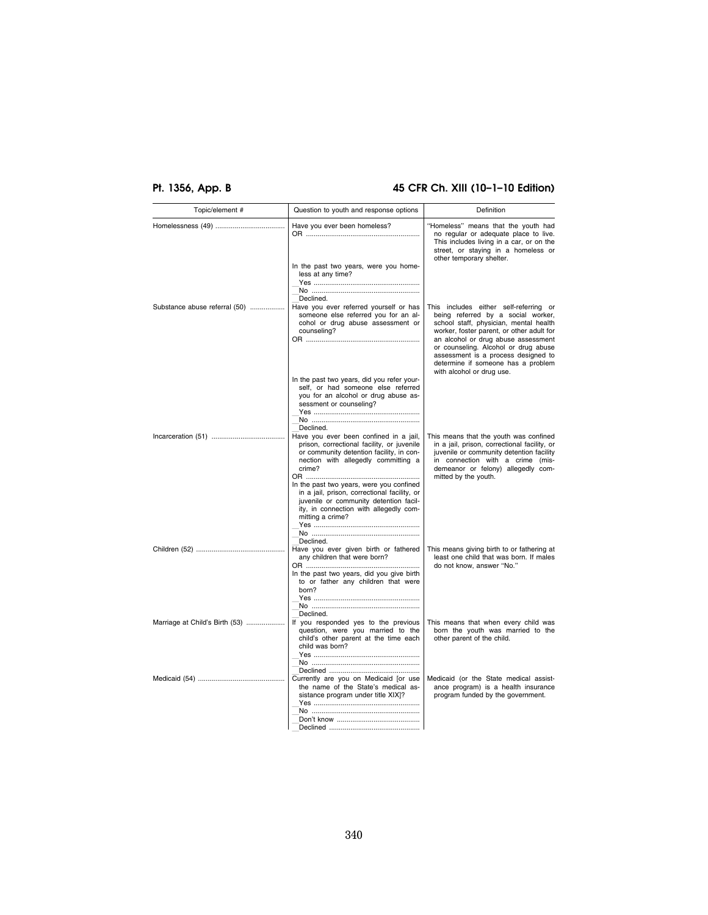# **Pt. 1356, App. B 45 CFR Ch. XIII (10–1–10 Edition)**

| Topic/element #                | Question to youth and response options                                                                                                                                                                                        | Definition                                                                                                                                                                                                                           |
|--------------------------------|-------------------------------------------------------------------------------------------------------------------------------------------------------------------------------------------------------------------------------|--------------------------------------------------------------------------------------------------------------------------------------------------------------------------------------------------------------------------------------|
|                                | Have you ever been homeless?                                                                                                                                                                                                  | "Homeless" means that the youth had<br>no regular or adequate place to live.<br>This includes living in a car, or on the<br>street, or staying in a homeless or<br>other temporary shelter.                                          |
| Substance abuse referral (50)  | In the past two years, were you home-<br>less at any time?<br>Declined.<br>Have you ever referred yourself or has<br>someone else referred you for an al-<br>cohol or drug abuse assessment or                                | This includes either self-referring or<br>being referred by a social worker,<br>school staff, physician, mental health                                                                                                               |
|                                | counseling?                                                                                                                                                                                                                   | worker, foster parent, or other adult for<br>an alcohol or drug abuse assessment<br>or counseling. Alcohol or drug abuse<br>assessment is a process designed to<br>determine if someone has a problem<br>with alcohol or drug use.   |
|                                | In the past two years, did you refer your-<br>self, or had someone else referred<br>you for an alcohol or drug abuse as-<br>sessment or counseling?<br>Declined.                                                              |                                                                                                                                                                                                                                      |
|                                | Have you ever been confined in a jail,<br>prison, correctional facility, or juvenile<br>or community detention facility, in con-<br>nection with allegedly committing a<br>crime?<br>In the past two years, were you confined | This means that the youth was confined<br>in a jail, prison, correctional facility, or<br>juvenile or community detention facility<br>in connection with a crime (mis-<br>demeanor or felony) allegedly com-<br>mitted by the youth. |
|                                | in a jail, prison, correctional facility, or<br>juvenile or community detention facil-<br>ity, in connection with allegedly com-<br>mitting a crime?                                                                          |                                                                                                                                                                                                                                      |
|                                | Declined.<br>Have you ever given birth or fathered<br>any children that were born?<br>In the past two years, did you give birth<br>to or father any children that were<br>born?                                               | This means giving birth to or fathering at<br>least one child that was born. If males<br>do not know, answer "No."                                                                                                                   |
|                                | Declined.                                                                                                                                                                                                                     |                                                                                                                                                                                                                                      |
| Marriage at Child's Birth (53) | If you responded yes to the previous<br>question, were you married to the<br>child's other parent at the time each<br>child was born?                                                                                         | This means that when every child was<br>born the youth was married to the<br>other parent of the child.                                                                                                                              |
|                                | Currently are you on Medicaid [or use<br>the name of the State's medical as-<br>sistance program under title XIX]?                                                                                                            | Medicaid (or the State medical assist-<br>ance program) is a health insurance<br>program funded by the government.                                                                                                                   |
|                                |                                                                                                                                                                                                                               |                                                                                                                                                                                                                                      |